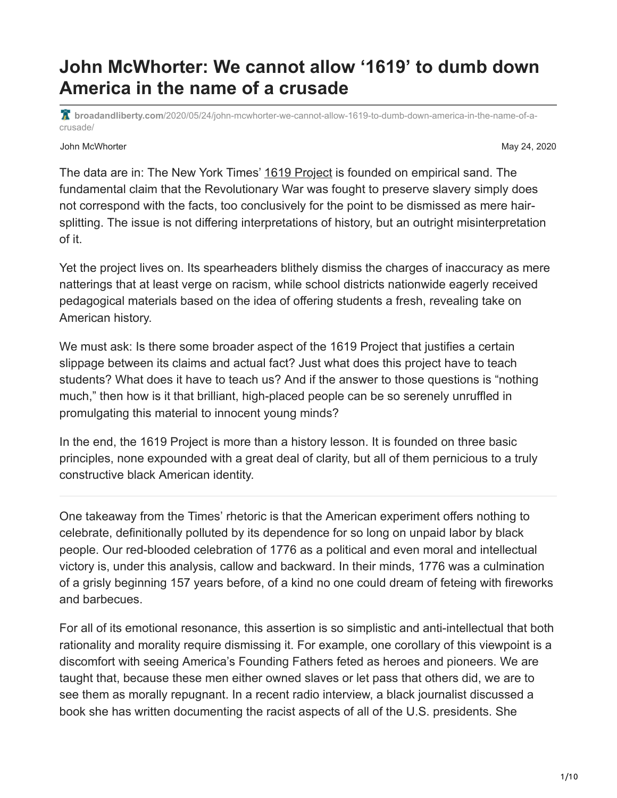## **John McWhorter: We cannot allow '1619' to dumb down America in the name of a crusade**

**broadandliberty.com**[/2020/05/24/john-mcwhorter-we-cannot-allow-1619-to-dumb-down-america-in-the-name-of-a](https://broadandliberty.com/2020/05/24/john-mcwhorter-we-cannot-allow-1619-to-dumb-down-america-in-the-name-of-a-crusade/)crusade/

John McWhorter May 24, 2020

The data are in: The New York Times' [1619 Project](https://www.nytimes.com/interactive/2019/08/14/magazine/1619-america-slavery.html) is founded on empirical sand. The fundamental claim that the Revolutionary War was fought to preserve slavery simply does not correspond with the facts, too conclusively for the point to be dismissed as mere hairsplitting. The issue is not differing interpretations of history, but an outright misinterpretation of it.

Yet the project lives on. Its spearheaders blithely dismiss the charges of inaccuracy as mere natterings that at least verge on racism, while school districts nationwide eagerly received pedagogical materials based on the idea of offering students a fresh, revealing take on American history.

We must ask: Is there some broader aspect of the 1619 Project that justifies a certain slippage between its claims and actual fact? Just what does this project have to teach students? What does it have to teach us? And if the answer to those questions is "nothing much," then how is it that brilliant, high-placed people can be so serenely unruffled in promulgating this material to innocent young minds?

In the end, the 1619 Project is more than a history lesson. It is founded on three basic principles, none expounded with a great deal of clarity, but all of them pernicious to a truly constructive black American identity.

One takeaway from the Times' rhetoric is that the American experiment offers nothing to celebrate, definitionally polluted by its dependence for so long on unpaid labor by black people. Our red-blooded celebration of 1776 as a political and even moral and intellectual victory is, under this analysis, callow and backward. In their minds, 1776 was a culmination of a grisly beginning 157 years before, of a kind no one could dream of feteing with fireworks and barbecues.

For all of its emotional resonance, this assertion is so simplistic and anti-intellectual that both rationality and morality require dismissing it. For example, one corollary of this viewpoint is a discomfort with seeing America's Founding Fathers feted as heroes and pioneers. We are taught that, because these men either owned slaves or let pass that others did, we are to see them as morally repugnant. In a recent radio interview, a black journalist discussed a book she has written documenting the racist aspects of all of the U.S. presidents. She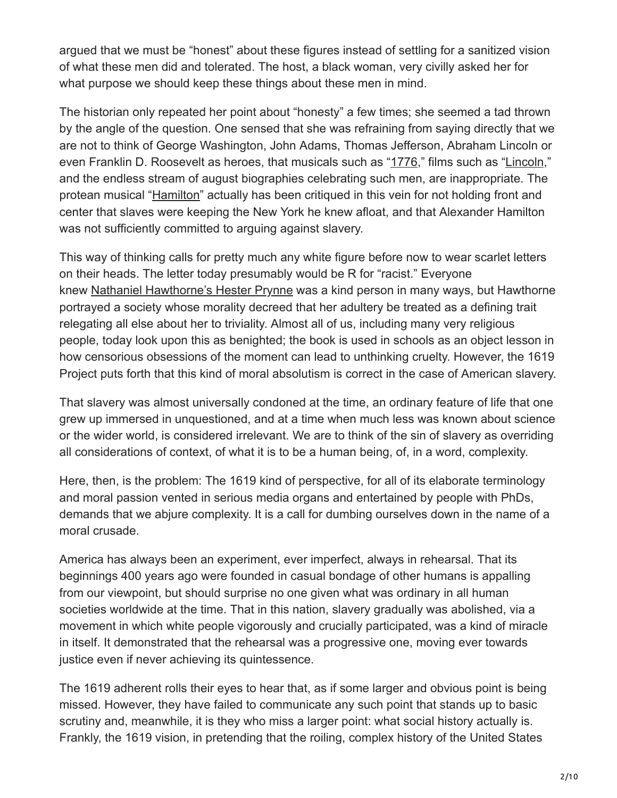argued that we must be "honest" about these figures instead of settling for a sanitized vision of what these men did and tolerated. The host, a black woman, very civilly asked her for what purpose we should keep these things about these men in mind.

The historian only repeated her point about "honesty" a few times; she seemed a tad thrown by the angle of the question. One sensed that she was refraining from saying directly that we are not to think of George Washington, John Adams, Thomas Jefferson, Abraham Lincoln or even Franklin D. Roosevelt as heroes, that musicals such as "[1776,](https://www.imdb.com/title/tt0068156/)" films such as "[Lincoln,](https://www.imdb.com/title/tt0443272/)" and the endless stream of august biographies celebrating such men, are inappropriate. The protean musical "[Hamilton"](https://hamiltonmusical.com/new-york/) actually has been critiqued in this vein for not holding front and center that slaves were keeping the New York he knew afloat, and that Alexander Hamilton was not sufficiently committed to arguing against slavery.

This way of thinking calls for pretty much any white figure before now to wear scarlet letters on their heads. The letter today presumably would be R for "racist." Everyone knew [Nathaniel Hawthorne's Hester Prynne](https://www.gutenberg.org/files/25344/25344-h/25344-h.htm) was a kind person in many ways, but Hawthorne portrayed a society whose morality decreed that her adultery be treated as a defining trait relegating all else about her to triviality. Almost all of us, including many very religious people, today look upon this as benighted; the book is used in schools as an object lesson in how censorious obsessions of the moment can lead to unthinking cruelty. However, the 1619 Project puts forth that this kind of moral absolutism is correct in the case of American slavery.

That slavery was almost universally condoned at the time, an ordinary feature of life that one grew up immersed in unquestioned, and at a time when much less was known about science or the wider world, is considered irrelevant. We are to think of the sin of slavery as overriding all considerations of context, of what it is to be a human being, of, in a word, complexity.

Here, then, is the problem: The 1619 kind of perspective, for all of its elaborate terminology and moral passion vented in serious media organs and entertained by people with PhDs, demands that we abjure complexity. It is a call for dumbing ourselves down in the name of a moral crusade.

America has always been an experiment, ever imperfect, always in rehearsal. That its beginnings 400 years ago were founded in casual bondage of other humans is appalling from our viewpoint, but should surprise no one given what was ordinary in all human societies worldwide at the time. That in this nation, slavery gradually was abolished, via a movement in which white people vigorously and crucially participated, was a kind of miracle in itself. It demonstrated that the rehearsal was a progressive one, moving ever towards justice even if never achieving its quintessence.

The 1619 adherent rolls their eyes to hear that, as if some larger and obvious point is being missed. However, they have failed to communicate any such point that stands up to basic scrutiny and, meanwhile, it is they who miss a larger point: what social history actually is. Frankly, the 1619 vision, in pretending that the roiling, complex history of the United States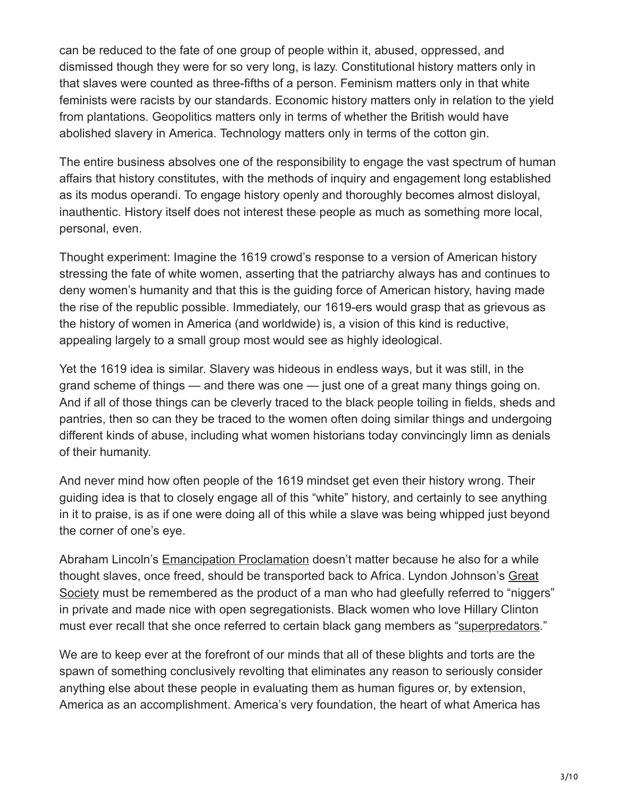can be reduced to the fate of one group of people within it, abused, oppressed, and dismissed though they were for so very long, is lazy. Constitutional history matters only in that slaves were counted as three-fifths of a person. Feminism matters only in that white feminists were racists by our standards. Economic history matters only in relation to the yield from plantations. Geopolitics matters only in terms of whether the British would have abolished slavery in America. Technology matters only in terms of the cotton gin.

The entire business absolves one of the responsibility to engage the vast spectrum of human affairs that history constitutes, with the methods of inquiry and engagement long established as its modus operandi. To engage history openly and thoroughly becomes almost disloyal, inauthentic. History itself does not interest these people as much as something more local, personal, even.

Thought experiment: Imagine the 1619 crowd's response to a version of American history stressing the fate of white women, asserting that the patriarchy always has and continues to deny women's humanity and that this is the guiding force of American history, having made the rise of the republic possible. Immediately, our 1619-ers would grasp that as grievous as the history of women in America (and worldwide) is, a vision of this kind is reductive, appealing largely to a small group most would see as highly ideological.

Yet the 1619 idea is similar. Slavery was hideous in endless ways, but it was still, in the grand scheme of things — and there was one — just one of a great many things going on. And if all of those things can be cleverly traced to the black people toiling in fields, sheds and pantries, then so can they be traced to the women often doing similar things and undergoing different kinds of abuse, including what women historians today convincingly limn as denials of their humanity.

And never mind how often people of the 1619 mindset get even their history wrong. Their guiding idea is that to closely engage all of this "white" history, and certainly to see anything in it to praise, is as if one were doing all of this while a slave was being whipped just beyond the corner of one's eye.

Abraham Lincoln's [Emancipation Proclamation](https://www.archives.gov/exhibits/featured-documents/emancipation-proclamation) doesn't matter because he also for a while thought slaves, once freed, should be transported back to Africa. Lyndon Johnson's Great [Society must be remembered as the product of a man who had gleefully referred to "nigge](https://www.history.com/topics/1960s/great-society)rs" in private and made nice with open segregationists. Black women who love Hillary Clinton must ever recall that she once referred to certain black gang members as "[superpredators.](https://www.youtube.com/watch?v=j0uCrA7ePno)"

We are to keep ever at the forefront of our minds that all of these blights and torts are the spawn of something conclusively revolting that eliminates any reason to seriously consider anything else about these people in evaluating them as human figures or, by extension, America as an accomplishment. America's very foundation, the heart of what America has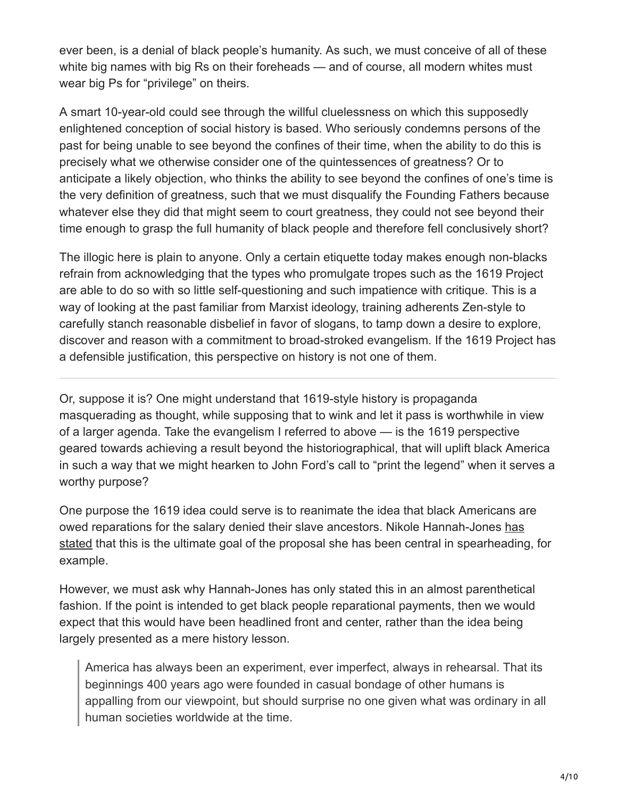ever been, is a denial of black people's humanity. As such, we must conceive of all of these white big names with big Rs on their foreheads — and of course, all modern whites must wear big Ps for "privilege" on theirs.

A smart 10-year-old could see through the willful cluelessness on which this supposedly enlightened conception of social history is based. Who seriously condemns persons of the past for being unable to see beyond the confines of their time, when the ability to do this is precisely what we otherwise consider one of the quintessences of greatness? Or to anticipate a likely objection, who thinks the ability to see beyond the confines of one's time is the very definition of greatness, such that we must disqualify the Founding Fathers because whatever else they did that might seem to court greatness, they could not see beyond their time enough to grasp the full humanity of black people and therefore fell conclusively short?

The illogic here is plain to anyone. Only a certain etiquette today makes enough non-blacks refrain from acknowledging that the types who promulgate tropes such as the 1619 Project are able to do so with so little self-questioning and such impatience with critique. This is a way of looking at the past familiar from Marxist ideology, training adherents Zen-style to carefully stanch reasonable disbelief in favor of slogans, to tamp down a desire to explore, discover and reason with a commitment to broad-stroked evangelism. If the 1619 Project has a defensible justification, this perspective on history is not one of them.

Or, suppose it is? One might understand that 1619-style history is propaganda masquerading as thought, while supposing that to wink and let it pass is worthwhile in view of a larger agenda. Take the evangelism I referred to above — is the 1619 perspective geared towards achieving a result beyond the historiographical, that will uplift black America in such a way that we might hearken to John Ford's call to "print the legend" when it serves a worthy purpose?

One purpose the 1619 idea could serve is to reanimate the idea that black Americans are [owed reparations for the salary denied their slave ancestors. Nikole Hannah-Jones has](https://www.cavalierdaily.com/article/2020/02/nikole-hannah-jones-creator-of-the-1619-project-speaks-at-the-rotunda-the-haven) stated that this is the ultimate goal of the proposal she has been central in spearheading, for example.

However, we must ask why Hannah-Jones has only stated this in an almost parenthetical fashion. If the point is intended to get black people reparational payments, then we would expect that this would have been headlined front and center, rather than the idea being largely presented as a mere history lesson.

America has always been an experiment, ever imperfect, always in rehearsal. That its beginnings 400 years ago were founded in casual bondage of other humans is appalling from our viewpoint, but should surprise no one given what was ordinary in all human societies worldwide at the time.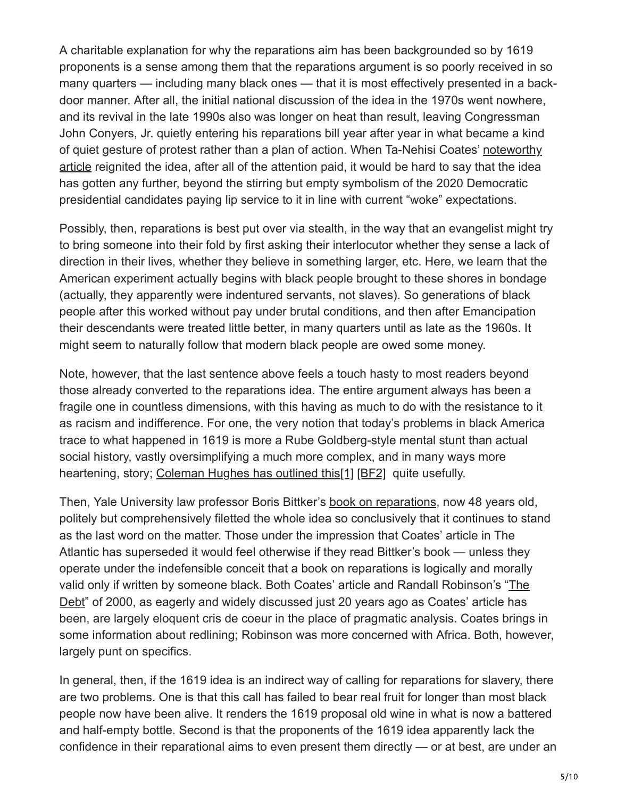A charitable explanation for why the reparations aim has been backgrounded so by 1619 proponents is a sense among them that the reparations argument is so poorly received in so many quarters — including many black ones — that it is most effectively presented in a backdoor manner. After all, the initial national discussion of the idea in the 1970s went nowhere, and its revival in the late 1990s also was longer on heat than result, leaving Congressman John Conyers, Jr. quietly entering his reparations bill year after year in what became a kind of quiet gesture of protest rather than a plan of action. When Ta-Nehisi Coates' noteworthy [article reignited the idea, after all of the attention paid, it would be hard to say that the idea](https://www.theatlantic.com/magazine/archive/2014/06/the-case-for-reparations/361631/) has gotten any further, beyond the stirring but empty symbolism of the 2020 Democratic presidential candidates paying lip service to it in line with current "woke" expectations.

Possibly, then, reparations is best put over via stealth, in the way that an evangelist might try to bring someone into their fold by first asking their interlocutor whether they sense a lack of direction in their lives, whether they believe in something larger, etc. Here, we learn that the American experiment actually begins with black people brought to these shores in bondage (actually, they apparently were indentured servants, not slaves). So generations of black people after this worked without pay under brutal conditions, and then after Emancipation their descendants were treated little better, in many quarters until as late as the 1960s. It might seem to naturally follow that modern black people are owed some money.

Note, however, that the last sentence above feels a touch hasty to most readers beyond those already converted to the reparations idea. The entire argument always has been a fragile one in countless dimensions, with this having as much to do with the resistance to it as racism and indifference. For one, the very notion that today's problems in black America trace to what happened in 1619 is more a Rube Goldberg-style mental stunt than actual social history, vastly oversimplifying a much more complex, and in many ways more heartening, story; [Coleman Hughes has outlined this](https://quillette.com/2019/06/20/my-testimony-to-congress-on-reparations/)[\[1\]](https://1776unites.com/featured-essays/we-cannot-allow-1619-to-dumb-down-america-in-the-name-of-a-crusade/#_msocom_1) [\[BF2\]](https://1776unites.com/featured-essays/we-cannot-allow-1619-to-dumb-down-america-in-the-name-of-a-crusade/#_msocom_2) quite usefully.

Then, Yale University law professor Boris Bittker's [book on reparations,](https://www.amazon.com/Case-Black-Reparations-Boris-Bittker/dp/0807009814) now 48 years old, politely but comprehensively filetted the whole idea so conclusively that it continues to stand as the last word on the matter. Those under the impression that Coates' article in The Atlantic has superseded it would feel otherwise if they read Bittker's book — unless they operate under the indefensible conceit that a book on reparations is logically and morally [valid only if written by someone black. Both Coates' article and Randall Robinson's "The](https://www.amazon.com/Debt-What-America-Owes-Blacks/dp/0452282101) Debt" of 2000, as eagerly and widely discussed just 20 years ago as Coates' article has been, are largely eloquent cris de coeur in the place of pragmatic analysis. Coates brings in some information about redlining; Robinson was more concerned with Africa. Both, however, largely punt on specifics.

In general, then, if the 1619 idea is an indirect way of calling for reparations for slavery, there are two problems. One is that this call has failed to bear real fruit for longer than most black people now have been alive. It renders the 1619 proposal old wine in what is now a battered and half-empty bottle. Second is that the proponents of the 1619 idea apparently lack the confidence in their reparational aims to even present them directly — or at best, are under an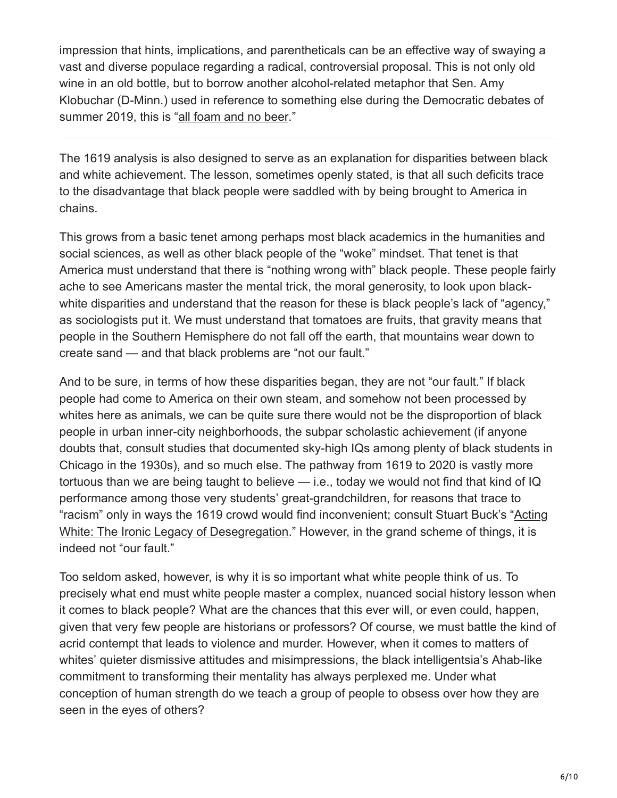impression that hints, implications, and parentheticals can be an effective way of swaying a vast and diverse populace regarding a radical, controversial proposal. This is not only old wine in an old bottle, but to borrow another alcohol-related metaphor that Sen. Amy Klobuchar (D-Minn.) used in reference to something else during the Democratic debates of summer 2019, this is "[all foam and no beer](https://www.youtube.com/watch?v=COJY5tROdq0)."

The 1619 analysis is also designed to serve as an explanation for disparities between black and white achievement. The lesson, sometimes openly stated, is that all such deficits trace to the disadvantage that black people were saddled with by being brought to America in chains.

This grows from a basic tenet among perhaps most black academics in the humanities and social sciences, as well as other black people of the "woke" mindset. That tenet is that America must understand that there is "nothing wrong with" black people. These people fairly ache to see Americans master the mental trick, the moral generosity, to look upon blackwhite disparities and understand that the reason for these is black people's lack of "agency," as sociologists put it. We must understand that tomatoes are fruits, that gravity means that people in the Southern Hemisphere do not fall off the earth, that mountains wear down to create sand — and that black problems are "not our fault."

And to be sure, in terms of how these disparities began, they are not "our fault." If black people had come to America on their own steam, and somehow not been processed by whites here as animals, we can be quite sure there would not be the disproportion of black people in urban inner-city neighborhoods, the subpar scholastic achievement (if anyone doubts that, consult studies that documented sky-high IQs among plenty of black students in Chicago in the 1930s), and so much else. The pathway from 1619 to 2020 is vastly more tortuous than we are being taught to believe — i.e., today we would not find that kind of IQ performance among those very students' great-grandchildren, for reasons that trace to ["racism" only in ways the 1619 crowd would find inconvenient; consult Stuart Buck's "Acting](https://www.amazon.com/Acting-White-Ironic-Legacy-Desegregation/dp/030017120X) White: The Ironic Legacy of Desegregation." However, in the grand scheme of things, it is indeed not "our fault."

Too seldom asked, however, is why it is so important what white people think of us. To precisely what end must white people master a complex, nuanced social history lesson when it comes to black people? What are the chances that this ever will, or even could, happen, given that very few people are historians or professors? Of course, we must battle the kind of acrid contempt that leads to violence and murder. However, when it comes to matters of whites' quieter dismissive attitudes and misimpressions, the black intelligentsia's Ahab-like commitment to transforming their mentality has always perplexed me. Under what conception of human strength do we teach a group of people to obsess over how they are seen in the eyes of others?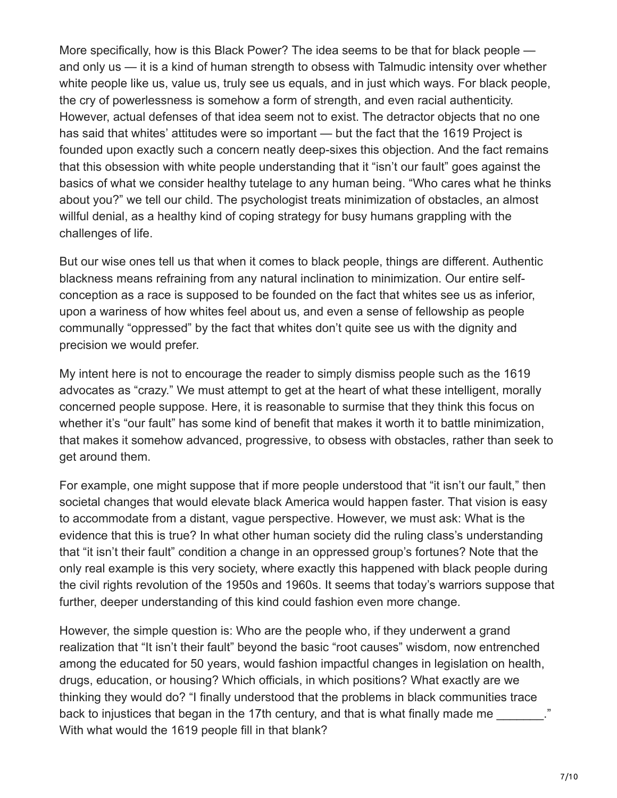More specifically, how is this Black Power? The idea seems to be that for black people and only us — it is a kind of human strength to obsess with Talmudic intensity over whether white people like us, value us, truly see us equals, and in just which ways. For black people, the cry of powerlessness is somehow a form of strength, and even racial authenticity. However, actual defenses of that idea seem not to exist. The detractor objects that no one has said that whites' attitudes were so important — but the fact that the 1619 Project is founded upon exactly such a concern neatly deep-sixes this objection. And the fact remains that this obsession with white people understanding that it "isn't our fault" goes against the basics of what we consider healthy tutelage to any human being. "Who cares what he thinks about you?" we tell our child. The psychologist treats minimization of obstacles, an almost willful denial, as a healthy kind of coping strategy for busy humans grappling with the challenges of life.

But our wise ones tell us that when it comes to black people, things are different. Authentic blackness means refraining from any natural inclination to minimization. Our entire selfconception as a race is supposed to be founded on the fact that whites see us as inferior, upon a wariness of how whites feel about us, and even a sense of fellowship as people communally "oppressed" by the fact that whites don't quite see us with the dignity and precision we would prefer.

My intent here is not to encourage the reader to simply dismiss people such as the 1619 advocates as "crazy." We must attempt to get at the heart of what these intelligent, morally concerned people suppose. Here, it is reasonable to surmise that they think this focus on whether it's "our fault" has some kind of benefit that makes it worth it to battle minimization, that makes it somehow advanced, progressive, to obsess with obstacles, rather than seek to get around them.

For example, one might suppose that if more people understood that "it isn't our fault," then societal changes that would elevate black America would happen faster. That vision is easy to accommodate from a distant, vague perspective. However, we must ask: What is the evidence that this is true? In what other human society did the ruling class's understanding that "it isn't their fault" condition a change in an oppressed group's fortunes? Note that the only real example is this very society, where exactly this happened with black people during the civil rights revolution of the 1950s and 1960s. It seems that today's warriors suppose that further, deeper understanding of this kind could fashion even more change.

However, the simple question is: Who are the people who, if they underwent a grand realization that "It isn't their fault" beyond the basic "root causes" wisdom, now entrenched among the educated for 50 years, would fashion impactful changes in legislation on health, drugs, education, or housing? Which officials, in which positions? What exactly are we thinking they would do? "I finally understood that the problems in black communities trace back to injustices that began in the 17th century, and that is what finally made me With what would the 1619 people fill in that blank?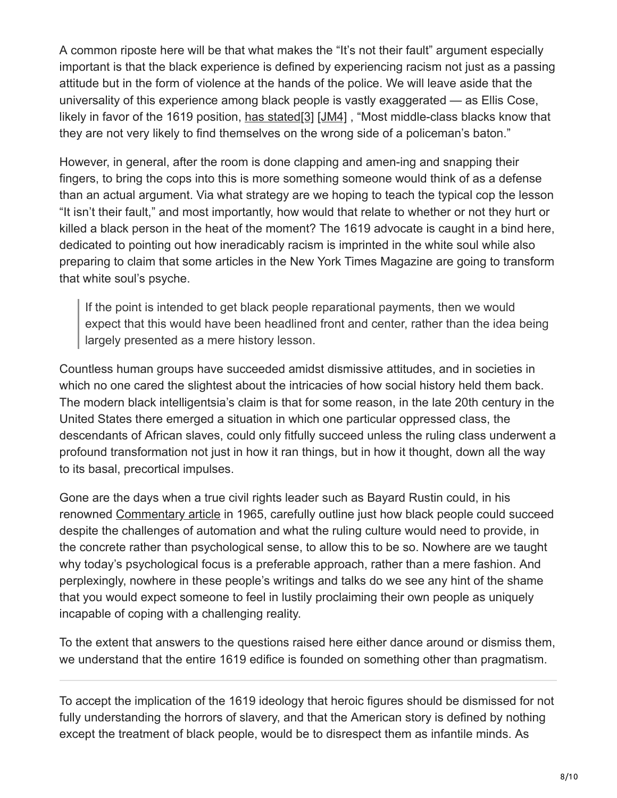A common riposte here will be that what makes the "It's not their fault" argument especially important is that the black experience is defined by experiencing racism not just as a passing attitude but in the form of violence at the hands of the police. We will leave aside that the universality of this experience among black people is vastly exaggerated — as Ellis Cose, likely in favor of the 1619 position, has state[d\[3\]](https://1776unites.com/featured-essays/we-cannot-allow-1619-to-dumb-down-america-in-the-name-of-a-crusade/#_msocom_3) [\[JM4\]](https://1776unites.com/featured-essays/we-cannot-allow-1619-to-dumb-down-america-in-the-name-of-a-crusade/#_msocom_4) , "Most middle-class blacks know that they are not very likely to find themselves on the wrong side of a policeman's baton."

However, in general, after the room is done clapping and amen-ing and snapping their fingers, to bring the cops into this is more something someone would think of as a defense than an actual argument. Via what strategy are we hoping to teach the typical cop the lesson "It isn't their fault," and most importantly, how would that relate to whether or not they hurt or killed a black person in the heat of the moment? The 1619 advocate is caught in a bind here, dedicated to pointing out how ineradicably racism is imprinted in the white soul while also preparing to claim that some articles in the New York Times Magazine are going to transform that white soul's psyche.

If the point is intended to get black people reparational payments, then we would expect that this would have been headlined front and center, rather than the idea being largely presented as a mere history lesson.

Countless human groups have succeeded amidst dismissive attitudes, and in societies in which no one cared the slightest about the intricacies of how social history held them back. The modern black intelligentsia's claim is that for some reason, in the late 20th century in the United States there emerged a situation in which one particular oppressed class, the descendants of African slaves, could only fitfully succeed unless the ruling class underwent a profound transformation not just in how it ran things, but in how it thought, down all the way to its basal, precortical impulses.

Gone are the days when a true civil rights leader such as Bayard Rustin could, in his renowned [Commentary article](https://www.blackpast.org/african-american-history/1965-bayard-rustin-protest-politics-future-civil-rights-movement-0/) in 1965, carefully outline just how black people could succeed despite the challenges of automation and what the ruling culture would need to provide, in the concrete rather than psychological sense, to allow this to be so. Nowhere are we taught why today's psychological focus is a preferable approach, rather than a mere fashion. And perplexingly, nowhere in these people's writings and talks do we see any hint of the shame that you would expect someone to feel in lustily proclaiming their own people as uniquely incapable of coping with a challenging reality.

To the extent that answers to the questions raised here either dance around or dismiss them, we understand that the entire 1619 edifice is founded on something other than pragmatism.

To accept the implication of the 1619 ideology that heroic figures should be dismissed for not fully understanding the horrors of slavery, and that the American story is defined by nothing except the treatment of black people, would be to disrespect them as infantile minds. As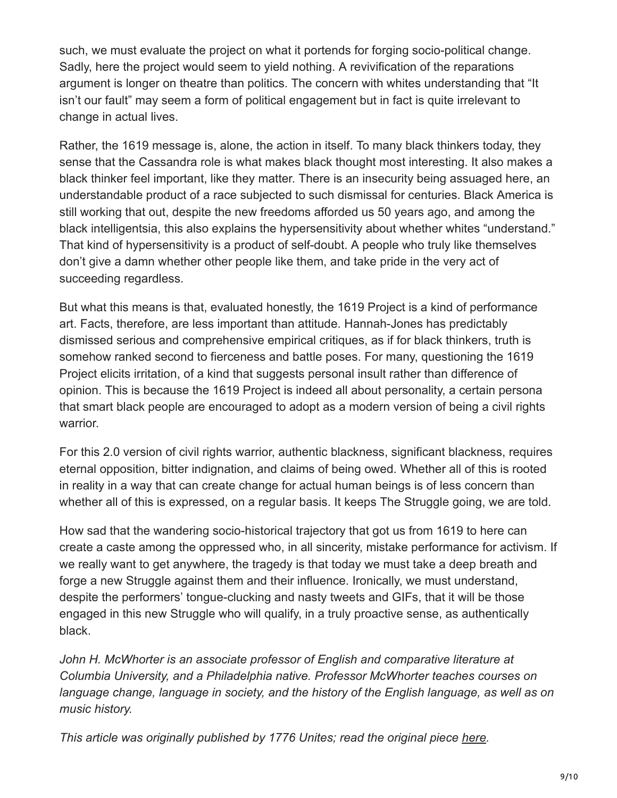such, we must evaluate the project on what it portends for forging socio-political change. Sadly, here the project would seem to yield nothing. A revivification of the reparations argument is longer on theatre than politics. The concern with whites understanding that "It isn't our fault" may seem a form of political engagement but in fact is quite irrelevant to change in actual lives.

Rather, the 1619 message is, alone, the action in itself. To many black thinkers today, they sense that the Cassandra role is what makes black thought most interesting. It also makes a black thinker feel important, like they matter. There is an insecurity being assuaged here, an understandable product of a race subjected to such dismissal for centuries. Black America is still working that out, despite the new freedoms afforded us 50 years ago, and among the black intelligentsia, this also explains the hypersensitivity about whether whites "understand." That kind of hypersensitivity is a product of self-doubt. A people who truly like themselves don't give a damn whether other people like them, and take pride in the very act of succeeding regardless.

But what this means is that, evaluated honestly, the 1619 Project is a kind of performance art. Facts, therefore, are less important than attitude. Hannah-Jones has predictably dismissed serious and comprehensive empirical critiques, as if for black thinkers, truth is somehow ranked second to fierceness and battle poses. For many, questioning the 1619 Project elicits irritation, of a kind that suggests personal insult rather than difference of opinion. This is because the 1619 Project is indeed all about personality, a certain persona that smart black people are encouraged to adopt as a modern version of being a civil rights warrior.

For this 2.0 version of civil rights warrior, authentic blackness, significant blackness, requires eternal opposition, bitter indignation, and claims of being owed. Whether all of this is rooted in reality in a way that can create change for actual human beings is of less concern than whether all of this is expressed, on a regular basis. It keeps The Struggle going, we are told.

How sad that the wandering socio-historical trajectory that got us from 1619 to here can create a caste among the oppressed who, in all sincerity, mistake performance for activism. If we really want to get anywhere, the tragedy is that today we must take a deep breath and forge a new Struggle against them and their influence. Ironically, we must understand, despite the performers' tongue-clucking and nasty tweets and GIFs, that it will be those engaged in this new Struggle who will qualify, in a truly proactive sense, as authentically black.

*John H. McWhorter is an associate professor of English and comparative literature at Columbia University, and a Philadelphia native. Professor McWhorter teaches courses on language change, language in society, and the history of the English language, as well as on music history.*

*This article was originally published by 1776 Unites; read the original piece [here](https://1776unites.com/featured-essays/we-cannot-allow-1619-to-dumb-down-america-in-the-name-of-a-crusade/).*